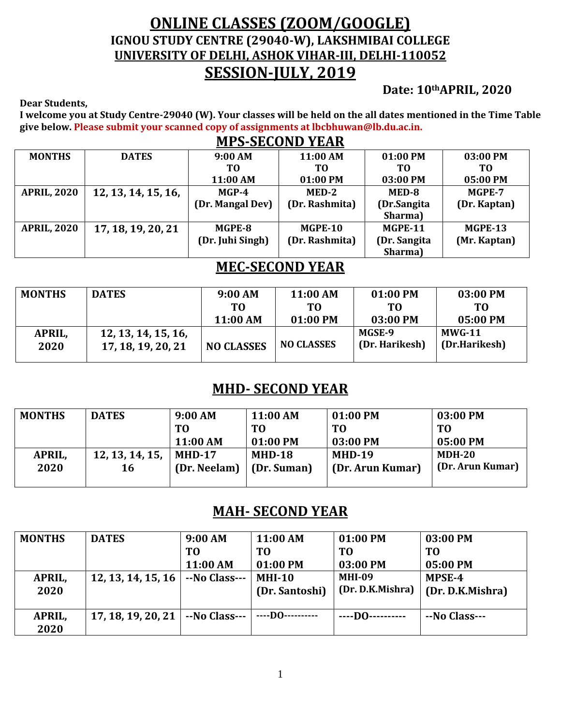## **ONLINE CLASSES (ZOOM/GOOGLE) IGNOU STUDY CENTRE (29040-W), LAKSHMIBAI COLLEGE UNIVERSITY OF DELHI, ASHOK VIHAR-III, DELHI-110052 SESSION-JULY, 2019**

**Date: 10thAPRIL, 2020**

**Dear Students,**

**I welcome you at Study Centre-29040 (W). Your classes will be held on the all dates mentioned in the Time Table give below. Please submit your scanned copy of assignments at lbcbhuwan@lb.du.ac.in. MPS-SECOND YEAR**

|                    | <u>MPS-SECOND YEAR</u> |                  |                |              |              |  |  |  |  |
|--------------------|------------------------|------------------|----------------|--------------|--------------|--|--|--|--|
| <b>MONTHS</b>      | <b>DATES</b>           | 9:00 AM          | 11:00 AM       | 01:00 PM     | 03:00 PM     |  |  |  |  |
|                    |                        | TО               | ТO             | T0           | TО           |  |  |  |  |
|                    |                        | 11:00 AM         | 01:00 PM       | 03:00 PM     | 05:00 PM     |  |  |  |  |
| <b>APRIL, 2020</b> | 12, 13, 14, 15, 16,    | $MGP-4$          | MED-2          | MED-8        | MGPE-7       |  |  |  |  |
|                    |                        | (Dr. Mangal Dev) | (Dr. Rashmita) | (Dr.Sangita  | (Dr. Kaptan) |  |  |  |  |
|                    |                        |                  |                | Sharma)      |              |  |  |  |  |
| <b>APRIL, 2020</b> | 17, 18, 19, 20, 21     | MGPE-8           | MGPE-10        | MGPE-11      | MGPE-13      |  |  |  |  |
|                    |                        | (Dr. Juhi Singh) | (Dr. Rashmita) | (Dr. Sangita | (Mr. Kaptan) |  |  |  |  |
|                    |                        |                  |                | Sharma)      |              |  |  |  |  |

### **MEC-SECOND YEAR**

| <b>MONTHS</b>  | <b>DATES</b>                              | 9:00 AM<br>TО     | 11:00 AM<br>TО    | 01:00 PM<br>TО           | 03:00 PM<br>TО                 |
|----------------|-------------------------------------------|-------------------|-------------------|--------------------------|--------------------------------|
|                |                                           | 11:00 AM          | 01:00 PM          | 03:00 PM                 | 05:00 PM                       |
| APRIL,<br>2020 | 12, 13, 14, 15, 16,<br>17, 18, 19, 20, 21 | <b>NO CLASSES</b> | <b>NO CLASSES</b> | MGSE-9<br>(Dr. Harikesh) | <b>MWG-11</b><br>(Dr.Harikesh) |

### **MHD- SECOND YEAR**

| <b>MONTHS</b> | <b>DATES</b>    | 9:00 AM      | 11:00 AM    | 01:00 PM         | 03:00 PM         |
|---------------|-----------------|--------------|-------------|------------------|------------------|
|               |                 | T0           | TО          | T <sub>0</sub>   | TО               |
|               |                 | 11:00 AM     | 01:00 PM    | 03:00 PM         | 05:00 PM         |
| APRIL,        | 12, 13, 14, 15, | $MHD-17$     | $MHD-18$    | <b>MHD-19</b>    | $MDH-20$         |
| 2020          | 16              | (Dr. Neelam) | (Dr. Suman) | (Dr. Arun Kumar) | (Dr. Arun Kumar) |
|               |                 |              |             |                  |                  |

### **MAH- SECOND YEAR**

| <b>MONTHS</b> | <b>DATES</b>       | 9:00 AM        | 11:00 AM         | 01:00 PM         | 03:00 PM         |
|---------------|--------------------|----------------|------------------|------------------|------------------|
|               |                    | T <sub>0</sub> | T <sub>0</sub>   | T <sub>0</sub>   | T <sub>0</sub>   |
|               |                    | 11:00 AM       | 01:00 PM         | 03:00 PM         | 05:00 PM         |
| APRIL,        | 12, 13, 14, 15, 16 | --No Class---  | <b>MHI-10</b>    | <b>MHI-09</b>    | MPSE-4           |
| 2020          |                    |                | (Dr. Santoshi)   | (Dr. D.K.Mishra) | (Dr. D.K.Mishra) |
|               |                    |                |                  |                  |                  |
| APRIL,        | 17, 18, 19, 20, 21 | --No Class---  | ----D0---------- | $---$ DO $---$   | --No Class---    |
| 2020          |                    |                |                  |                  |                  |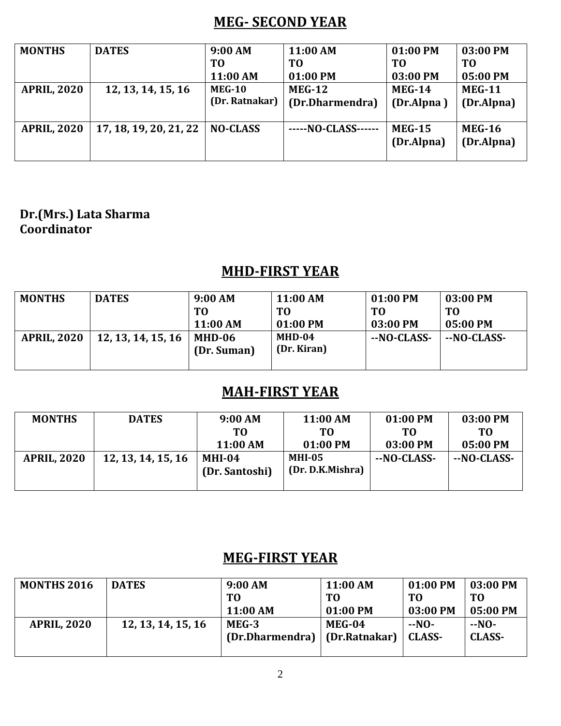### **MEG- SECOND YEAR**

| <b>MONTHS</b>      | <b>DATES</b>           | 9:00 AM         | 11:00 AM        | 01:00 PM      | 03:00 PM      |
|--------------------|------------------------|-----------------|-----------------|---------------|---------------|
|                    |                        | T <sub>0</sub>  | TO              | TO            | T0            |
|                    |                        | 11:00 AM        | 01:00 PM        | 03:00 PM      | 05:00 PM      |
| <b>APRIL, 2020</b> | 12, 13, 14, 15, 16     | <b>MEG-10</b>   | $MEG-12$        | <b>MEG-14</b> | <b>MEG-11</b> |
|                    |                        | (Dr. Ratnakar)  | (Dr.Dharmendra) | (Dr.Alpna)    | (Dr.Alpna)    |
|                    |                        |                 |                 |               |               |
| <b>APRIL, 2020</b> | 17, 18, 19, 20, 21, 22 | <b>NO-CLASS</b> | -NO-CLASS-      | <b>MEG-15</b> | <b>MEG-16</b> |
|                    |                        |                 |                 | (Dr.Alpna)    | (Dr.Alpna)    |
|                    |                        |                 |                 |               |               |

#### **Dr.(Mrs.) Lata Sharma Coordinator**

## **MHD-FIRST YEAR**

| <b>MONTHS</b>      | <b>DATES</b>       | 9:00 AM<br>TО<br>11:00 AM | 11:00 AM<br>TO.<br>01:00 PM | 01:00 PM<br>TО<br>03:00 PM | 03:00 PM<br>TO<br>05:00 PM |
|--------------------|--------------------|---------------------------|-----------------------------|----------------------------|----------------------------|
| <b>APRIL, 2020</b> | 12, 13, 14, 15, 16 | MHD-06<br>(Dr. Suman)     | $MHD-04$<br>(Dr. Kiran)     | --NO-CLASS-                | --NO-CLASS-                |

## **MAH-FIRST YEAR**

| <b>MONTHS</b>      | <b>DATES</b>       | 9:00 AM                    | 11:00 AM                          | 01:00 PM    | 03:00 PM    |
|--------------------|--------------------|----------------------------|-----------------------------------|-------------|-------------|
|                    |                    | TО                         | TО                                | TО          | TO.         |
|                    |                    | 11:00 AM                   | 01:00 PM                          | 03:00 PM    | 05:00 PM    |
| <b>APRIL, 2020</b> | 12, 13, 14, 15, 16 | $MHI-04$<br>(Dr. Santoshi) | <b>MHI-05</b><br>(Dr. D.K.Mishra) | --NO-CLASS- | --NO-CLASS- |

## **MEG-FIRST YEAR**

| <b>MONTHS 2016</b> | <b>DATES</b>       | 9:00 AM         | 11:00 AM      | $01:00$ PM | 03:00 PM      |
|--------------------|--------------------|-----------------|---------------|------------|---------------|
|                    |                    | T <sub>0</sub>  | T0            | TO         | TО            |
|                    |                    | 11:00 AM        | 01:00 PM      | 03:00 PM   | 05:00 PM      |
| <b>APRIL, 2020</b> | 12, 13, 14, 15, 16 | MEG-3           | MEG-04        | $-NO-$     | --NO-         |
|                    |                    | (Dr.Dharmendra) | (Dr.Ratnakar) | CLASS-     | <b>CLASS-</b> |
|                    |                    |                 |               |            |               |